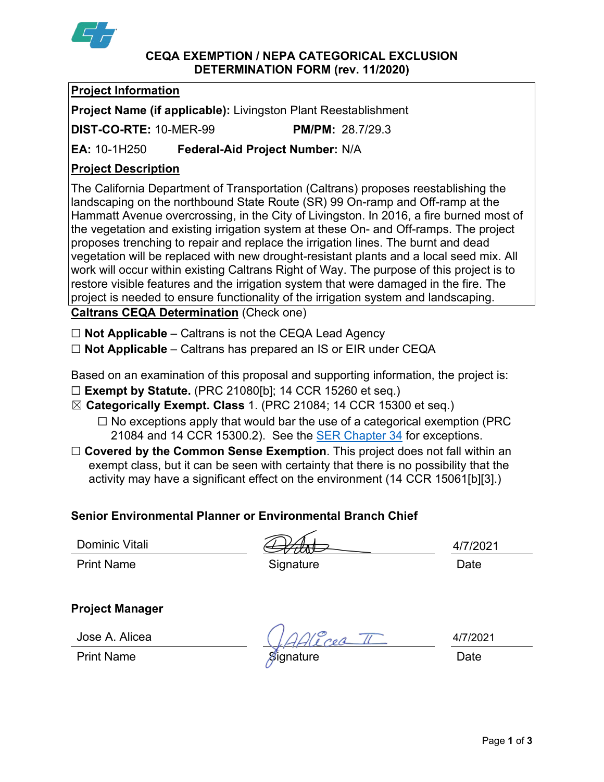

#### **CEQA EXEMPTION / NEPA CATEGORICAL EXCLUSION DETERMINATION FORM (rev. 11/2020)**

## **Project Information**

**Project Name (if applicable):** Livingston Plant Reestablishment

**DIST-CO-RTE:** 10-MER-99 **PM/PM:** 28.7/29.3

**EA:** 10-1H250 **Federal-Aid Project Number:** N/A

# **Project Description**

The California Department of Transportation (Caltrans) proposes reestablishing the landscaping on the northbound State Route (SR) 99 On-ramp and Off-ramp at the Hammatt Avenue overcrossing, in the City of Livingston. In 2016, a fire burned most of the vegetation and existing irrigation system at these On- and Off-ramps. The project proposes trenching to repair and replace the irrigation lines. The burnt and dead vegetation will be replaced with new drought-resistant plants and a local seed mix. All work will occur within existing Caltrans Right of Way. The purpose of this project is to restore visible features and the irrigation system that were damaged in the fire. The project is needed to ensure functionality of the irrigation system and landscaping. **Caltrans CEQA Determination** (Check one)

☐ **Not Applicable** – Caltrans is not the CEQA Lead Agency

☐ **Not Applicable** – Caltrans has prepared an IS or EIR under CEQA

Based on an examination of this proposal and supporting information, the project is:

- ☐ **Exempt by Statute.** (PRC 21080[b]; 14 CCR 15260 et seq.)
- ☒ **Categorically Exempt. Class** 1. (PRC 21084; 14 CCR 15300 et seq.)
	- $\Box$  No exceptions apply that would bar the use of a categorical exemption (PRC 21084 and 14 CCR 15300.2). See the [SER Chapter 34](https://dot.ca.gov/programs/environmental-analysis/standard-environmental-reference-ser/volume-1-guidance-for-compliance/ch-34-exemptions-to-ceqa#except) for exceptions.
- □ **Covered by the Common Sense Exemption**. This project does not fall within an exempt class, but it can be seen with certainty that there is no possibility that the activity may have a significant effect on the environment (14 CCR 15061[b][3].)

# **Senior Environmental Planner or Environmental Branch Chief**

Dominic Vitali

Print Name **Signature Date** 

4/7/2021

# **Project Manager**

Jose A. Alicea

Cea TI

4/7/2021

Print Name **Signature Date**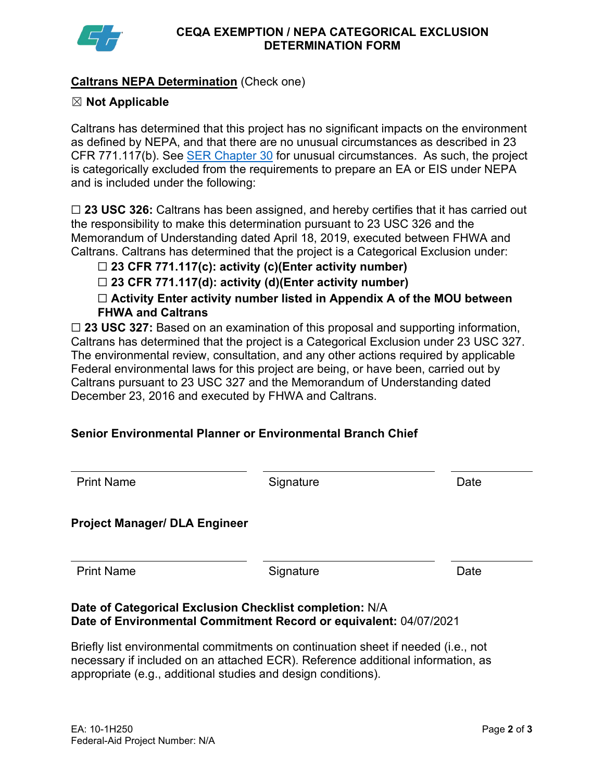

## **Caltrans NEPA Determination** (Check one)

#### ☒ **Not Applicable**

Caltrans has determined that this project has no significant impacts on the environment as defined by NEPA, and that there are no unusual circumstances as described in 23 CFR 771.117(b). See [SER Chapter 30](https://dot.ca.gov/programs/environmental-analysis/standard-environmental-reference-ser/volume-1-guidance-for-compliance/ch-30-categorical-exclusions#exception) for unusual circumstances. As such, the project is categorically excluded from the requirements to prepare an EA or EIS under NEPA and is included under the following:

☐ **23 USC 326:** Caltrans has been assigned, and hereby certifies that it has carried out the responsibility to make this determination pursuant to 23 USC 326 and the Memorandum of Understanding dated April 18, 2019, executed between FHWA and Caltrans. Caltrans has determined that the project is a Categorical Exclusion under:

## ☐ **23 CFR 771.117(c): activity (c)(Enter activity number)**

☐ **23 CFR 771.117(d): activity (d)(Enter activity number)**

☐ **Activity Enter activity number listed in Appendix A of the MOU between FHWA and Caltrans**

□ 23 USC 327: Based on an examination of this proposal and supporting information, Caltrans has determined that the project is a Categorical Exclusion under 23 USC 327. The environmental review, consultation, and any other actions required by applicable Federal environmental laws for this project are being, or have been, carried out by Caltrans pursuant to 23 USC 327 and the Memorandum of Understanding dated December 23, 2016 and executed by FHWA and Caltrans.

# **Senior Environmental Planner or Environmental Branch Chief**

| <b>Print Name</b>                    | Signature                                               | Date |
|--------------------------------------|---------------------------------------------------------|------|
| <b>Project Manager/ DLA Engineer</b> |                                                         |      |
| <b>Print Name</b>                    | Signature                                               | Date |
|                                      | Date of Categorical Exclusion Checklist completion: N/A |      |

#### **Date of Categorical Exclusion Checklist completion:** N/A **Date of Environmental Commitment Record or equivalent:** 04/07/2021

Briefly list environmental commitments on continuation sheet if needed (i.e., not necessary if included on an attached ECR). Reference additional information, as appropriate (e.g., additional studies and design conditions).